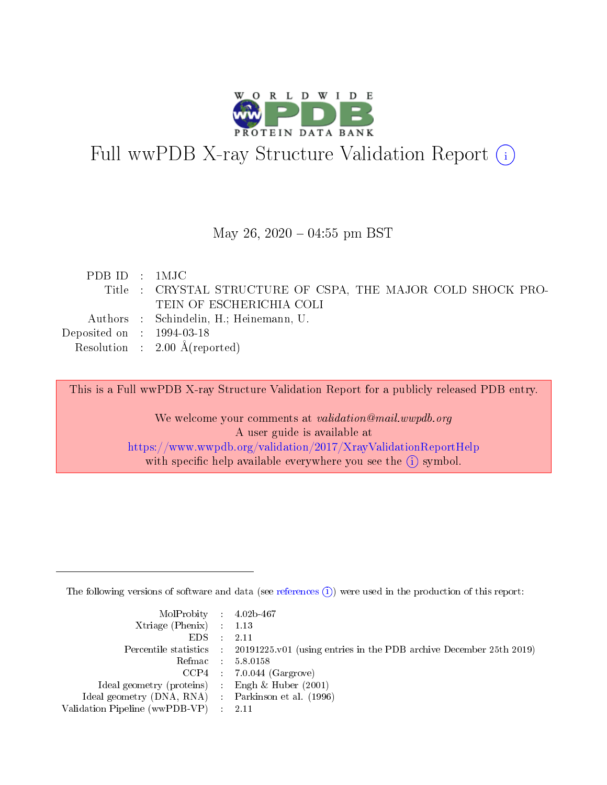

# Full wwPDB X-ray Structure Validation Report (i)

#### May 26,  $2020 - 04:55$  pm BST

| PDB ID : 1MJC                  |                                                             |
|--------------------------------|-------------------------------------------------------------|
|                                | Title: CRYSTAL STRUCTURE OF CSPA, THE MAJOR COLD SHOCK PRO- |
|                                | TEIN OF ESCHERICHIA COLI                                    |
|                                | Authors : Schindelin, H.; Heinemann, U.                     |
| Deposited on $\,$ : 1994-03-18 |                                                             |
|                                | Resolution : $2.00 \text{ Å}$ (reported)                    |

This is a Full wwPDB X-ray Structure Validation Report for a publicly released PDB entry.

We welcome your comments at validation@mail.wwpdb.org A user guide is available at <https://www.wwpdb.org/validation/2017/XrayValidationReportHelp> with specific help available everywhere you see the  $(i)$  symbol.

The following versions of software and data (see [references](https://www.wwpdb.org/validation/2017/XrayValidationReportHelp#references)  $(i)$ ) were used in the production of this report:

| $MolProbability$ 4.02b-467                          |                                                                                            |
|-----------------------------------------------------|--------------------------------------------------------------------------------------------|
| Xtriage (Phenix) $: 1.13$                           |                                                                                            |
| $EDS$ :                                             | -2.11                                                                                      |
|                                                     | Percentile statistics : 20191225.v01 (using entries in the PDB archive December 25th 2019) |
|                                                     | Refmac : 5.8.0158                                                                          |
|                                                     | $CCP4$ : 7.0.044 (Gargrove)                                                                |
| Ideal geometry (proteins) : Engh $\&$ Huber (2001)  |                                                                                            |
| Ideal geometry (DNA, RNA) : Parkinson et al. (1996) |                                                                                            |
| Validation Pipeline (wwPDB-VP)                      | -2.11                                                                                      |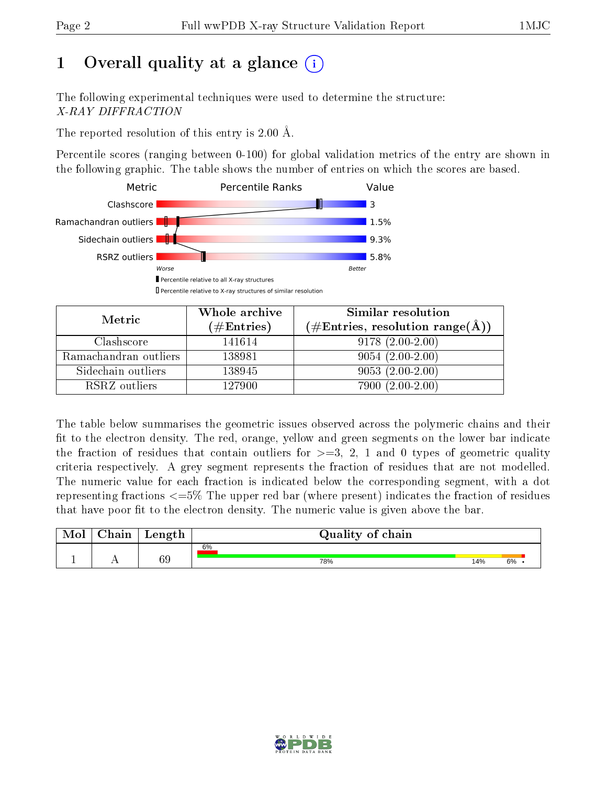## 1 [O](https://www.wwpdb.org/validation/2017/XrayValidationReportHelp#overall_quality)verall quality at a glance  $(i)$

The following experimental techniques were used to determine the structure: X-RAY DIFFRACTION

The reported resolution of this entry is 2.00 Å.

Percentile scores (ranging between 0-100) for global validation metrics of the entry are shown in the following graphic. The table shows the number of entries on which the scores are based.



| Metric                | Whole archive<br>$(\#\text{Entries})$ | Similar resolution<br>$(\#\text{Entries}, \text{resolution range}(\AA))$ |  |  |
|-----------------------|---------------------------------------|--------------------------------------------------------------------------|--|--|
| Clashscore            | 141614                                | $9178(2.00-2.00)$                                                        |  |  |
| Ramachandran outliers | 138981                                | $9054(2.00-2.00)$                                                        |  |  |
| Sidechain outliers    | 138945                                | $9053(2.00-2.00)$                                                        |  |  |
| RSRZ outliers         | 127900                                | $7900(2.00-2.00)$                                                        |  |  |

The table below summarises the geometric issues observed across the polymeric chains and their fit to the electron density. The red, orange, yellow and green segments on the lower bar indicate the fraction of residues that contain outliers for  $\geq=3$ , 2, 1 and 0 types of geometric quality criteria respectively. A grey segment represents the fraction of residues that are not modelled. The numeric value for each fraction is indicated below the corresponding segment, with a dot representing fractions  $\epsilon = 5\%$  The upper red bar (where present) indicates the fraction of residues that have poor fit to the electron density. The numeric value is given above the bar.

| $\cap$ hain | Length | Quality of chain |     |    |
|-------------|--------|------------------|-----|----|
|             |        | 6%               |     |    |
|             | 69     | 78%              | 14% | 6% |

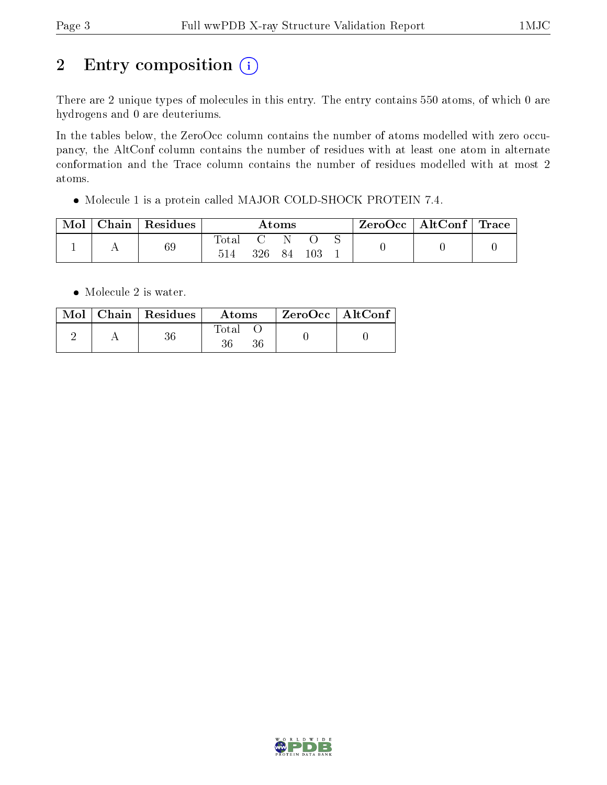# 2 Entry composition  $(i)$

There are 2 unique types of molecules in this entry. The entry contains 550 atoms, of which 0 are hydrogens and 0 are deuteriums.

In the tables below, the ZeroOcc column contains the number of atoms modelled with zero occupancy, the AltConf column contains the number of residues with at least one atom in alternate conformation and the Trace column contains the number of residues modelled with at most 2 atoms.

Molecule 1 is a protein called MAJOR COLD-SHOCK PROTEIN 7.4.

| Mol | $Chain \,  $ | Residues | $\bm{\mathrm{Atoms}}$ |     |          | $\text{ZeroOcc} \mid \text{AltConf} \mid \text{Trace}$ |  |  |  |
|-----|--------------|----------|-----------------------|-----|----------|--------------------------------------------------------|--|--|--|
|     |              | 69       | $\rm Total$<br>514    | 326 | 'N<br>84 | 103                                                    |  |  |  |

• Molecule 2 is water.

|  | $\text{Mol}$   Chain   Residues | Atoms | $\rm ZeroOcc$   Alt $\rm Conf$ |  |
|--|---------------------------------|-------|--------------------------------|--|
|  |                                 | Total |                                |  |

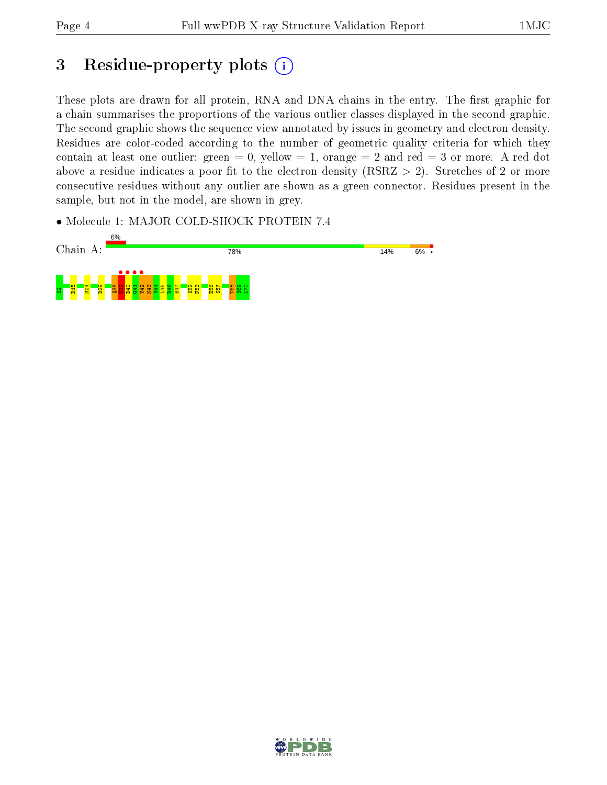## 3 Residue-property plots  $(i)$

These plots are drawn for all protein, RNA and DNA chains in the entry. The first graphic for a chain summarises the proportions of the various outlier classes displayed in the second graphic. The second graphic shows the sequence view annotated by issues in geometry and electron density. Residues are color-coded according to the number of geometric quality criteria for which they contain at least one outlier: green  $= 0$ , yellow  $= 1$ , orange  $= 2$  and red  $= 3$  or more. A red dot above a residue indicates a poor fit to the electron density (RSRZ  $> 2$ ). Stretches of 2 or more consecutive residues without any outlier are shown as a green connector. Residues present in the sample, but not in the model, are shown in grey.

• Molecule 1: MAJOR COLD-SHOCK PROTEIN 7.4



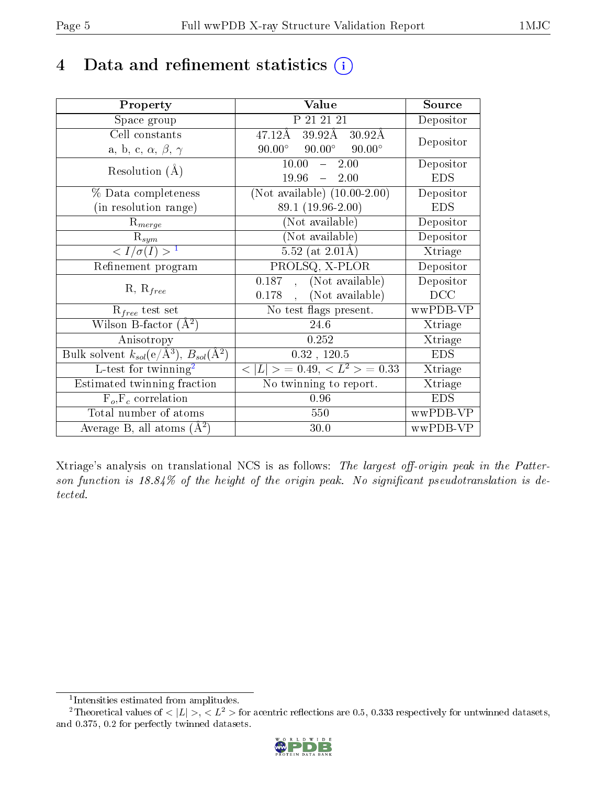## 4 Data and refinement statistics  $(i)$

| Property                                                                 | Value                                                       | Source     |
|--------------------------------------------------------------------------|-------------------------------------------------------------|------------|
| Space group                                                              | P 21 21 21                                                  | Depositor  |
| Cell constants                                                           | $39.92\text{\AA}$<br>$47.12\text{\AA}$<br>$30.92\text{\AA}$ |            |
| a, b, c, $\alpha$ , $\beta$ , $\gamma$                                   | $90.00^{\circ}$<br>$90.00^\circ$<br>$90.00^\circ$           | Depositor  |
| Resolution $(A)$                                                         | 10.00<br>2.00<br>$\frac{1}{2}$                              | Depositor  |
|                                                                          | 19.96<br>$-2.00$                                            | <b>EDS</b> |
| $\%$ Data completeness                                                   | (Not available) $(10.00-2.00)$                              | Depositor  |
| (in resolution range)                                                    | 89.1 (19.96-2.00)                                           | <b>EDS</b> |
| $R_{merge}$                                                              | (Not available)                                             | Depositor  |
| $\mathrm{R}_{sym}$                                                       | (Not available)                                             | Depositor  |
| $\langle I/\sigma(I) \rangle^{-1}$                                       | 5.52 (at $2.01\text{\AA}$ )                                 | Xtriage    |
| Refinement program                                                       | PROLSQ, X-PLOR                                              | Depositor  |
| $R, R_{free}$                                                            | (Not available)<br>0.187,                                   | Depositor  |
|                                                                          | (Not available)<br>0.178                                    | DCC        |
| $R_{free}$ test set                                                      | No test flags present.                                      | wwPDB-VP   |
| Wilson B-factor $(A^2)$                                                  | 24.6                                                        | Xtriage    |
| Anisotropy                                                               | 0.252                                                       | Xtriage    |
| Bulk solvent $k_{sol}(\mathrm{e}/\mathrm{A}^3),$ $B_{sol}(\mathrm{A}^2)$ | 0.32, 120.5                                                 | <b>EDS</b> |
| L-test for twinning <sup>2</sup>                                         | $< L >$ = 0.49, $< L2$ = 0.33                               | Xtriage    |
| Estimated twinning fraction                                              | $\overline{\text{No}}$ twinning to report.                  | Xtriage    |
| $F_o, F_c$ correlation                                                   | 0.96                                                        | <b>EDS</b> |
| Total number of atoms                                                    | 550                                                         | wwPDB-VP   |
| Average B, all atoms $(A^2)$                                             | 30.0                                                        | wwPDB-VP   |

Xtriage's analysis on translational NCS is as follows: The largest off-origin peak in the Patterson function is  $18.84\%$  of the height of the origin peak. No significant pseudotranslation is detected.

<sup>&</sup>lt;sup>2</sup>Theoretical values of  $\langle |L| \rangle$ ,  $\langle L^2 \rangle$  for acentric reflections are 0.5, 0.333 respectively for untwinned datasets, and 0.375, 0.2 for perfectly twinned datasets.



<span id="page-4-1"></span><span id="page-4-0"></span><sup>1</sup> Intensities estimated from amplitudes.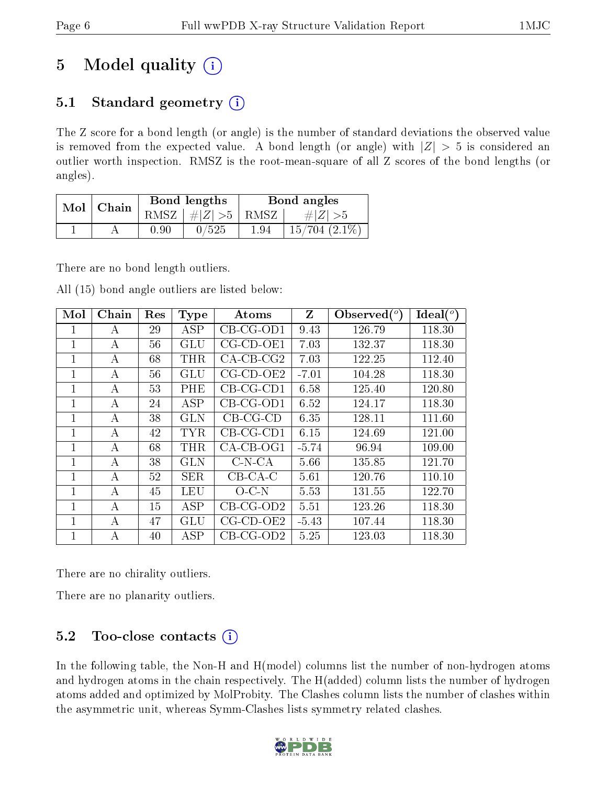## 5 Model quality  $(i)$

### 5.1 Standard geometry  $(i)$

The Z score for a bond length (or angle) is the number of standard deviations the observed value is removed from the expected value. A bond length (or angle) with  $|Z| > 5$  is considered an outlier worth inspection. RMSZ is the root-mean-square of all Z scores of the bond lengths (or angles).

| Mol | Chain |          | Bond lengths | Bond angles |                   |  |
|-----|-------|----------|--------------|-------------|-------------------|--|
|     |       | RMSZ     | $\# Z  > 5$  | RMSZ        | $\# Z  > 5$       |  |
|     |       | $0.90\,$ | /525         | 1.94        | $15/704$ $(2.1\%$ |  |

There are no bond length outliers.

All (15) bond angle outliers are listed below:

| Mol            | Chain | Res | <b>Type</b> | Atoms               | Z       | Observed $(°)$ | Ideal $(^\circ)$ |
|----------------|-------|-----|-------------|---------------------|---------|----------------|------------------|
| 1              | А     | 29  | ASP         | $CB-CG-OD1$         | 9.43    | 126.79         | 118.30           |
| 1              | А     | 56  | <b>GLU</b>  | $CG$ - $CD$ - $OE1$ | 7.03    | 132.37         | 118.30           |
| 1              | А     | 68  | <b>THR</b>  | $CA$ -CB-CG2        | 7.03    | 122.25         | 112.40           |
| 1              | А     | 56  | GLU         | $CG$ - $CD$ - $OE2$ | $-7.01$ | 104.28         | 118.30           |
| 1              | А     | 53  | PHE         | $CB-CG-CD1$         | 6.58    | 125.40         | 120.80           |
| 1              | A     | 24  | <b>ASP</b>  | $CB-CG-OD1$         | 6.52    | 124.17         | 118.30           |
| 1              | А     | 38  | <b>GLN</b>  | $CB-CG-CD$          | 6.35    | 128.11         | 111.60           |
| 1              | A     | 42  | <b>TYR</b>  | $CB-CG-CD1$         | 6.15    | 124.69         | 121.00           |
| 1              | A     | 68  | <b>THR</b>  | $CA-CB-OG1$         | $-5.74$ | 96.94          | 109.00           |
|                | А     | 38  | GLN         | $C-N-CA$            | 5.66    | 135.85         | 121.70           |
| 1              | А     | 52  | <b>SER</b>  | $CB-CA-C$           | 5.61    | 120.76         | 110.10           |
| $\overline{1}$ | А     | 45  | <b>LEU</b>  | $O-C-N$             | 5.53    | 131.55         | 122.70           |
| 1              | А     | 15  | ASP         | $CB-CG-OD2$         | 5.51    | 123.26         | 118.30           |
| 1              | А     | 47  | GLU         | $CG$ - $CD$ - $OE2$ | $-5.43$ | 107.44         | 118.30           |
| 1              | А     | 40  | ASP         | $CB-CG-OD2$         | 5.25    | 123.03         | 118.30           |

There are no chirality outliers.

There are no planarity outliers.

### $5.2$  Too-close contacts  $(i)$

In the following table, the Non-H and H(model) columns list the number of non-hydrogen atoms and hydrogen atoms in the chain respectively. The H(added) column lists the number of hydrogen atoms added and optimized by MolProbity. The Clashes column lists the number of clashes within the asymmetric unit, whereas Symm-Clashes lists symmetry related clashes.

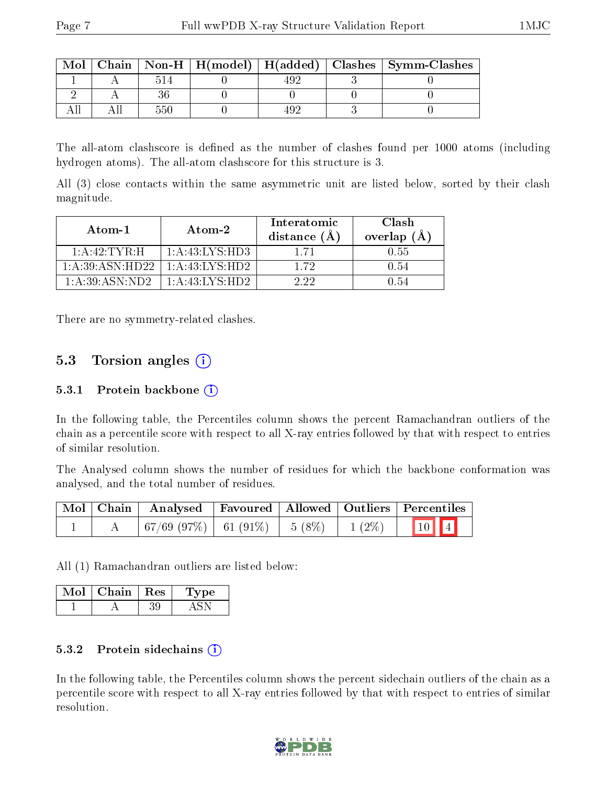| Mol |     |  | Chain   Non-H   H(model)   H(added)   Clashes   Symm-Clashes |
|-----|-----|--|--------------------------------------------------------------|
|     |     |  |                                                              |
|     |     |  |                                                              |
|     | 551 |  |                                                              |

The all-atom clashscore is defined as the number of clashes found per 1000 atoms (including hydrogen atoms). The all-atom clashscore for this structure is 3.

All (3) close contacts within the same asymmetric unit are listed below, sorted by their clash magnitude.

| Atom-1                  | Atom-2                      | Interatomic<br>distance $(\AA)$ | Clash<br>overlap $(A)$ |
|-------------------------|-----------------------------|---------------------------------|------------------------|
| $1:$ A $:42:$ TYR $:$ H | 1: A: 43: LYS: HD3          | 1 71                            | $-0.55$                |
| 1: A:39: ASN:HD22       | 1: A:43: LYS:HD2            | 1 72                            | 0.54                   |
| 1: A:39: ASN:ND2        | $1:A:43:LYS:\overline{HD2}$ | 1 99.                           | 1.54                   |

There are no symmetry-related clashes.

#### 5.3 Torsion angles (i)

#### 5.3.1 Protein backbone  $(i)$

In the following table, the Percentiles column shows the percent Ramachandran outliers of the chain as a percentile score with respect to all X-ray entries followed by that with respect to entries of similar resolution.

The Analysed column shows the number of residues for which the backbone conformation was analysed, and the total number of residues.

|  | Mol   Chain   Analysed   Favoured   Allowed   Outliers   Percentiles |  |      |
|--|----------------------------------------------------------------------|--|------|
|  | $\mid 67/69 \ (97\%) \mid 61 \ (91\%) \mid 5 \ (8\%) \mid 1 \ (2\%)$ |  | 10 4 |

All (1) Ramachandran outliers are listed below:

| Mol | Chain. | $\perp$ Res | $\mathbf{p}$ |
|-----|--------|-------------|--------------|
|     |        |             |              |

#### 5.3.2 Protein sidechains  $(i)$

In the following table, the Percentiles column shows the percent sidechain outliers of the chain as a percentile score with respect to all X-ray entries followed by that with respect to entries of similar resolution.

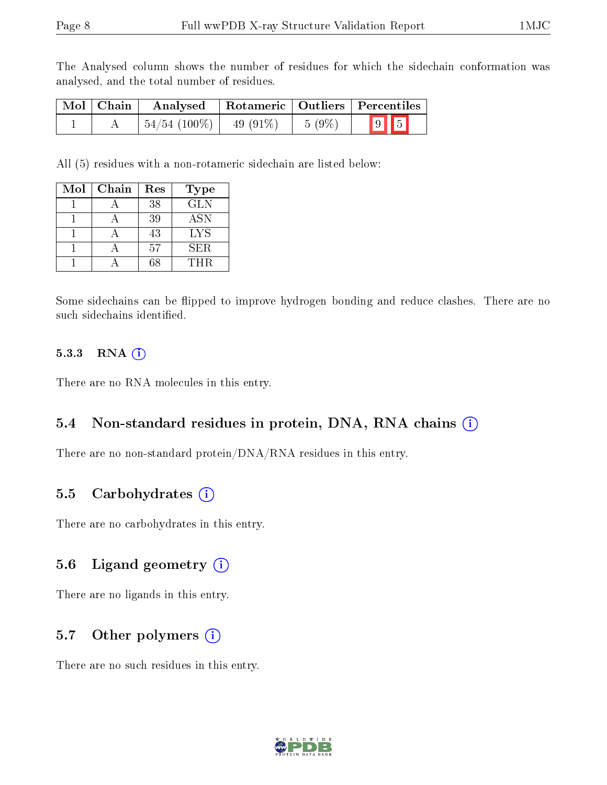The Analysed column shows the number of residues for which the sidechain conformation was analysed, and the total number of residues.

| Mol   Chain | Analysed                     |           |                | Rotameric   Outliers   Percentiles |
|-------------|------------------------------|-----------|----------------|------------------------------------|
|             | $\mid 54/54 \; (100\%) \mid$ | 49 (91\%) | $\vert 5(9\%)$ | $9$ 5                              |

All (5) residues with a non-rotameric sidechain are listed below:

| Mol | Chain | Res | Type       |
|-----|-------|-----|------------|
|     |       | 38  | <b>GLN</b> |
|     |       | 39  | <b>ASN</b> |
|     |       | 43  | LYS        |
|     |       | .57 | <b>SER</b> |
|     |       | 68  | THR.       |

Some sidechains can be flipped to improve hydrogen bonding and reduce clashes. There are no such sidechains identified.

#### 5.3.3 RNA (i)

There are no RNA molecules in this entry.

#### 5.4 Non-standard residues in protein, DNA, RNA chains (i)

There are no non-standard protein/DNA/RNA residues in this entry.

#### 5.5 Carbohydrates (i)

There are no carbohydrates in this entry.

#### 5.6 Ligand geometry (i)

There are no ligands in this entry.

#### 5.7 [O](https://www.wwpdb.org/validation/2017/XrayValidationReportHelp#nonstandard_residues_and_ligands)ther polymers (i)

There are no such residues in this entry.

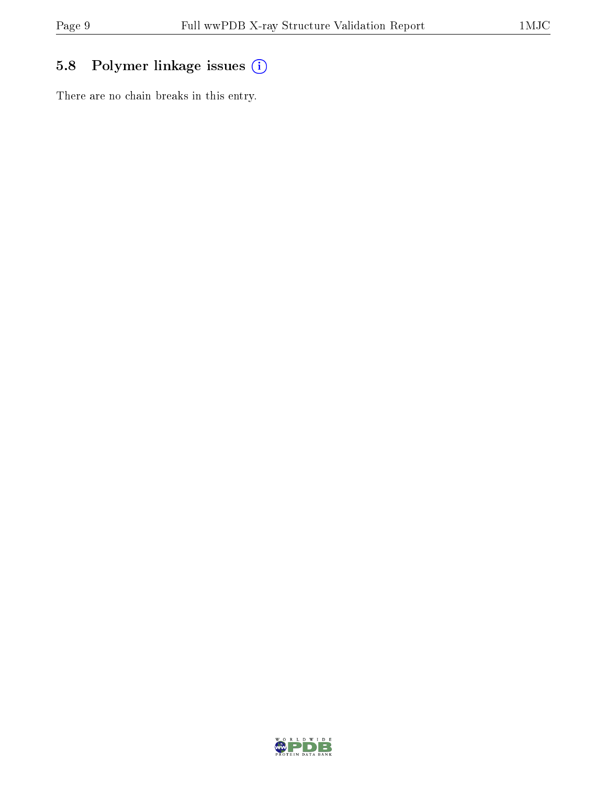### 5.8 Polymer linkage issues (i)

There are no chain breaks in this entry.